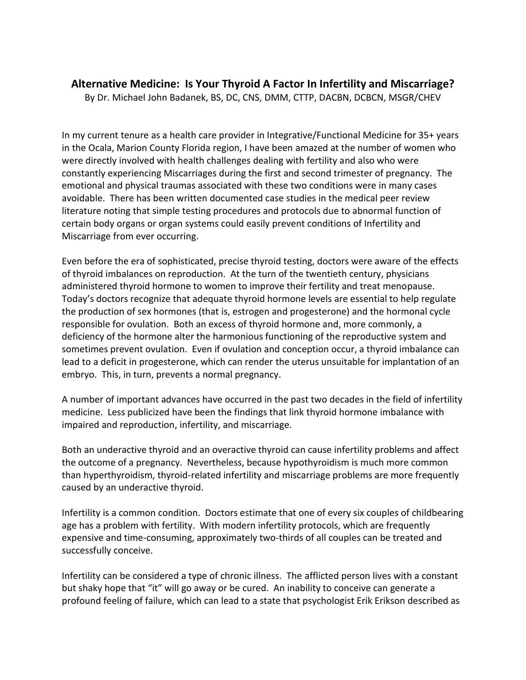## **Alternative Medicine: Is Your Thyroid A Factor In Infertility and Miscarriage?**

By Dr. Michael John Badanek, BS, DC, CNS, DMM, CTTP, DACBN, DCBCN, MSGR/CHEV

In my current tenure as a health care provider in Integrative/Functional Medicine for 35+ years in the Ocala, Marion County Florida region, I have been amazed at the number of women who were directly involved with health challenges dealing with fertility and also who were constantly experiencing Miscarriages during the first and second trimester of pregnancy. The emotional and physical traumas associated with these two conditions were in many cases avoidable. There has been written documented case studies in the medical peer review literature noting that simple testing procedures and protocols due to abnormal function of certain body organs or organ systems could easily prevent conditions of Infertility and Miscarriage from ever occurring.

Even before the era of sophisticated, precise thyroid testing, doctors were aware of the effects of thyroid imbalances on reproduction. At the turn of the twentieth century, physicians administered thyroid hormone to women to improve their fertility and treat menopause. Today's doctors recognize that adequate thyroid hormone levels are essential to help regulate the production of sex hormones (that is, estrogen and progesterone) and the hormonal cycle responsible for ovulation. Both an excess of thyroid hormone and, more commonly, a deficiency of the hormone alter the harmonious functioning of the reproductive system and sometimes prevent ovulation. Even if ovulation and conception occur, a thyroid imbalance can lead to a deficit in progesterone, which can render the uterus unsuitable for implantation of an embryo. This, in turn, prevents a normal pregnancy.

A number of important advances have occurred in the past two decades in the field of infertility medicine. Less publicized have been the findings that link thyroid hormone imbalance with impaired and reproduction, infertility, and miscarriage.

Both an underactive thyroid and an overactive thyroid can cause infertility problems and affect the outcome of a pregnancy. Nevertheless, because hypothyroidism is much more common than hyperthyroidism, thyroid-related infertility and miscarriage problems are more frequently caused by an underactive thyroid.

Infertility is a common condition. Doctors estimate that one of every six couples of childbearing age has a problem with fertility. With modern infertility protocols, which are frequently expensive and time-consuming, approximately two-thirds of all couples can be treated and successfully conceive.

Infertility can be considered a type of chronic illness. The afflicted person lives with a constant but shaky hope that "it" will go away or be cured. An inability to conceive can generate a profound feeling of failure, which can lead to a state that psychologist Erik Erikson described as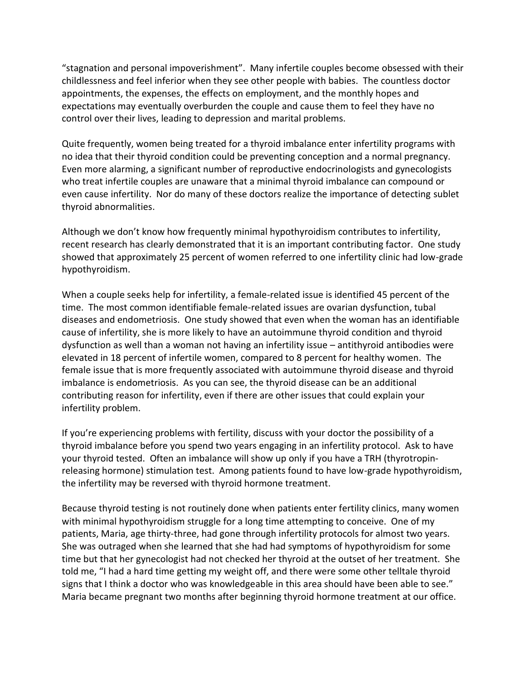"stagnation and personal impoverishment". Many infertile couples become obsessed with their childlessness and feel inferior when they see other people with babies. The countless doctor appointments, the expenses, the effects on employment, and the monthly hopes and expectations may eventually overburden the couple and cause them to feel they have no control over their lives, leading to depression and marital problems.

Quite frequently, women being treated for a thyroid imbalance enter infertility programs with no idea that their thyroid condition could be preventing conception and a normal pregnancy. Even more alarming, a significant number of reproductive endocrinologists and gynecologists who treat infertile couples are unaware that a minimal thyroid imbalance can compound or even cause infertility. Nor do many of these doctors realize the importance of detecting sublet thyroid abnormalities.

Although we don't know how frequently minimal hypothyroidism contributes to infertility, recent research has clearly demonstrated that it is an important contributing factor. One study showed that approximately 25 percent of women referred to one infertility clinic had low-grade hypothyroidism.

When a couple seeks help for infertility, a female-related issue is identified 45 percent of the time. The most common identifiable female-related issues are ovarian dysfunction, tubal diseases and endometriosis. One study showed that even when the woman has an identifiable cause of infertility, she is more likely to have an autoimmune thyroid condition and thyroid dysfunction as well than a woman not having an infertility issue – antithyroid antibodies were elevated in 18 percent of infertile women, compared to 8 percent for healthy women. The female issue that is more frequently associated with autoimmune thyroid disease and thyroid imbalance is endometriosis. As you can see, the thyroid disease can be an additional contributing reason for infertility, even if there are other issues that could explain your infertility problem.

If you're experiencing problems with fertility, discuss with your doctor the possibility of a thyroid imbalance before you spend two years engaging in an infertility protocol. Ask to have your thyroid tested. Often an imbalance will show up only if you have a TRH (thyrotropinreleasing hormone) stimulation test. Among patients found to have low-grade hypothyroidism, the infertility may be reversed with thyroid hormone treatment.

Because thyroid testing is not routinely done when patients enter fertility clinics, many women with minimal hypothyroidism struggle for a long time attempting to conceive. One of my patients, Maria, age thirty-three, had gone through infertility protocols for almost two years. She was outraged when she learned that she had had symptoms of hypothyroidism for some time but that her gynecologist had not checked her thyroid at the outset of her treatment. She told me, "I had a hard time getting my weight off, and there were some other telltale thyroid signs that I think a doctor who was knowledgeable in this area should have been able to see." Maria became pregnant two months after beginning thyroid hormone treatment at our office.